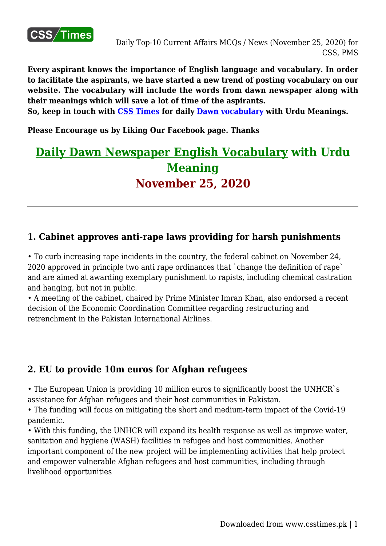

**Every aspirant knows the importance of English language and vocabulary. In order to facilitate the aspirants, we have started a new trend of posting vocabulary on our website. The vocabulary will include the words from dawn newspaper along with their meanings which will save a lot of time of the aspirants.**

**So, keep in touch with [CSS Times](http://www.csstimes.pk) for daily [Dawn vocabulary](https://www.csstimes.pk/category/dailycssmaterial/dailydawnvocabforcss/) with Urdu Meanings.**

**Please Encourage us by Liking Our Facebook page. Thanks**

# **[Daily Dawn Newspaper English Vocabulary](https://www.csstimes.pk/category/dailycssmaterial/dailydawnvocabforcss/) with Urdu Meaning November 25, 2020**

#### **1. Cabinet approves anti-rape laws providing for harsh punishments**

• To curb increasing rape incidents in the country, the federal cabinet on November 24, 2020 approved in principle two anti rape ordinances that `change the definition of rape` and are aimed at awarding exemplary punishment to rapists, including chemical castration and hanging, but not in public.

• A meeting of the cabinet, chaired by Prime Minister Imran Khan, also endorsed a recent decision of the Economic Coordination Committee regarding restructuring and retrenchment in the Pakistan International Airlines.

#### **2. EU to provide 10m euros for Afghan refugees**

• The European Union is providing 10 million euros to significantly boost the UNHCR`s assistance for Afghan refugees and their host communities in Pakistan.

• The funding will focus on mitigating the short and medium-term impact of the Covid-19 pandemic.

• With this funding, the UNHCR will expand its health response as well as improve water, sanitation and hygiene (WASH) facilities in refugee and host communities. Another important component of the new project will be implementing activities that help protect and empower vulnerable Afghan refugees and host communities, including through livelihood opportunities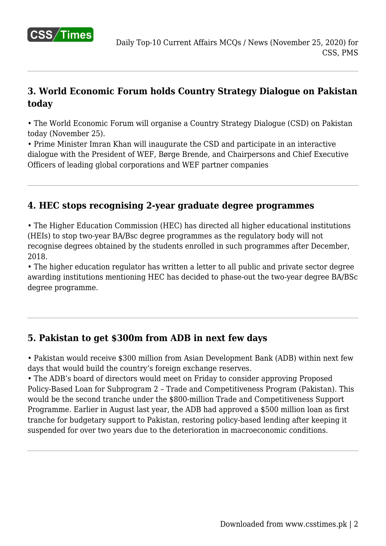

## **3. World Economic Forum holds Country Strategy Dialogue on Pakistan today**

• The World Economic Forum will organise a Country Strategy Dialogue (CSD) on Pakistan today (November 25).

• Prime Minister Imran Khan will inaugurate the CSD and participate in an interactive dialogue with the President of WEF, Børge Brende, and Chairpersons and Chief Executive Officers of leading global corporations and WEF partner companies

#### **4. HEC stops recognising 2-year graduate degree programmes**

• The Higher Education Commission (HEC) has directed all higher educational institutions (HEIs) to stop two-year BA/Bsc degree programmes as the regulatory body will not recognise degrees obtained by the students enrolled in such programmes after December, 2018.

• The higher education regulator has written a letter to all public and private sector degree awarding institutions mentioning HEC has decided to phase-out the two-year degree BA/BSc degree programme.

## **5. Pakistan to get \$300m from ADB in next few days**

• Pakistan would receive \$300 million from Asian Development Bank (ADB) within next few days that would build the country's foreign exchange reserves.

• The ADB's board of directors would meet on Friday to consider approving Proposed Policy-Based Loan for Subprogram 2 – Trade and Competitiveness Program (Pakistan). This would be the second tranche under the \$800-million Trade and Competitiveness Support Programme. Earlier in August last year, the ADB had approved a \$500 million loan as first tranche for budgetary support to Pakistan, restoring policy-based lending after keeping it suspended for over two years due to the deterioration in macroeconomic conditions.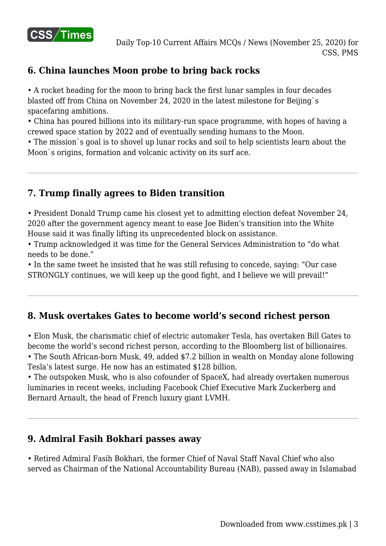

## **6. China launches Moon probe to bring back rocks**

• A rocket heading for the moon to bring back the first lunar samples in four decades blasted off from China on November 24, 2020 in the latest milestone for Beijing`s spacefaring ambitions.

• China has poured billions into its military-run space programme, with hopes of having a crewed space station by 2022 and of eventually sending humans to the Moon.

• The mission`s goal is to shovel up lunar rocks and soil to help scientists learn about the Moon`s origins, formation and volcanic activity on its surf ace.

## **7. Trump finally agrees to Biden transition**

• President Donald Trump came his closest yet to admitting election defeat November 24, 2020 after the government agency meant to ease Joe Biden's transition into the White House said it was finally lifting its unprecedented block on assistance.

• Trump acknowledged it was time for the General Services Administration to "do what needs to be done."

• In the same tweet he insisted that he was still refusing to concede, saying: "Our case STRONGLY continues, we will keep up the good fight, and I believe we will prevail!"

## **8. Musk overtakes Gates to become world's second richest person**

• Elon Musk, the charismatic chief of electric automaker Tesla, has overtaken Bill Gates to become the world's second richest person, according to the Bloomberg list of billionaires. • The South African-born Musk, 49, added \$7.2 billion in wealth on Monday alone following Tesla's latest surge. He now has an estimated \$128 billion.

• The outspoken Musk, who is also cofounder of SpaceX, had already overtaken numerous luminaries in recent weeks, including Facebook Chief Executive Mark Zuckerberg and Bernard Arnault, the head of French luxury giant LVMH.

#### **9. Admiral Fasih Bokhari passes away**

• Retired Admiral Fasih Bokhari, the former Chief of Naval Staff Naval Chief who also served as Chairman of the National Accountability Bureau (NAB), passed away in Islamabad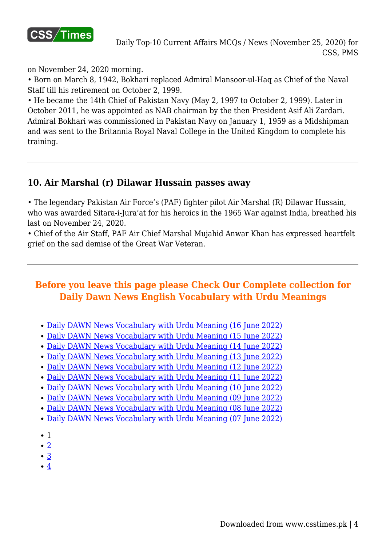

on November 24, 2020 morning.

• Born on March 8, 1942, Bokhari replaced Admiral Mansoor-ul-Haq as Chief of the Naval Staff till his retirement on October 2, 1999.

• He became the 14th Chief of Pakistan Navy (May 2, 1997 to October 2, 1999). Later in October 2011, he was appointed as NAB chairman by the then President Asif Ali Zardari. Admiral Bokhari was commissioned in Pakistan Navy on January 1, 1959 as a Midshipman and was sent to the Britannia Royal Naval College in the United Kingdom to complete his training.

#### **10. Air Marshal (r) Dilawar Hussain passes away**

• The legendary Pakistan Air Force's (PAF) fighter pilot Air Marshal (R) Dilawar Hussain, who was awarded Sitara-i-Jura'at for his heroics in the 1965 War against India, breathed his last on November 24, 2020.

• Chief of the Air Staff, PAF Air Chief Marshal Mujahid Anwar Khan has expressed heartfelt grief on the sad demise of the Great War Veteran.

## **Before you leave this page please Check Our Complete collection for Daily Dawn News English Vocabulary with Urdu Meanings**

- [Daily DAWN News Vocabulary with Urdu Meaning \(16 June 2022\)](https://www.csstimes.pk/dawn-vocabulary-16-jun-2022/)
- [Daily DAWN News Vocabulary with Urdu Meaning \(15 June 2022\)](https://www.csstimes.pk/dawn-vocabulary-15-jun-2022/)
- [Daily DAWN News Vocabulary with Urdu Meaning \(14 June 2022\)](https://www.csstimes.pk/dawn-vocabulary-14-jun-2022/)
- [Daily DAWN News Vocabulary with Urdu Meaning \(13 June 2022\)](https://www.csstimes.pk/dawn-vocabulary-13-jun-2022/)
- [Daily DAWN News Vocabulary with Urdu Meaning \(12 June 2022\)](https://www.csstimes.pk/dawn-vocabulary-12-jun-2022/)
- [Daily DAWN News Vocabulary with Urdu Meaning \(11 June 2022\)](https://www.csstimes.pk/dawn-vocabulary-11-jun-2022/)
- [Daily DAWN News Vocabulary with Urdu Meaning \(10 June 2022\)](https://www.csstimes.pk/dawn-vocabulary-10-jun-2022/)
- [Daily DAWN News Vocabulary with Urdu Meaning \(09 June 2022\)](https://www.csstimes.pk/dawn-vocabulary-9-jun-2022/)
- [Daily DAWN News Vocabulary with Urdu Meaning \(08 June 2022\)](https://www.csstimes.pk/dawn-vocabulary-8-jun-2022/)
- [Daily DAWN News Vocabulary with Urdu Meaning \(07 June 2022\)](https://www.csstimes.pk/dawn-vocabulary-7-jun-2022/)
- $\bullet$  1
- $\bullet$  [2](https://www.csstimes.pk/current-affairs-mcqs-nov-25-2020/?pdf=15274&lcp_page0=2#lcp_instance_0)
- [3](https://www.csstimes.pk/current-affairs-mcqs-nov-25-2020/?pdf=15274&lcp_page0=3#lcp_instance_0)
- $\bullet$  [4](https://www.csstimes.pk/current-affairs-mcqs-nov-25-2020/?pdf=15274&lcp_page0=4#lcp_instance_0)